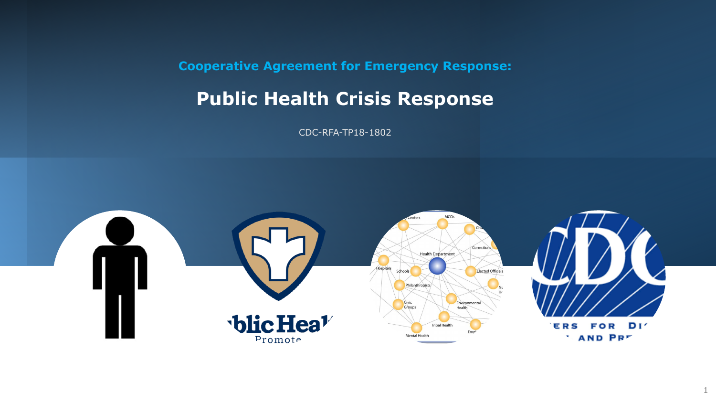**Cooperative Agreement for Emergency Response:**

# **Public Health Crisis Response**

CDC-RFA-TP18-1802

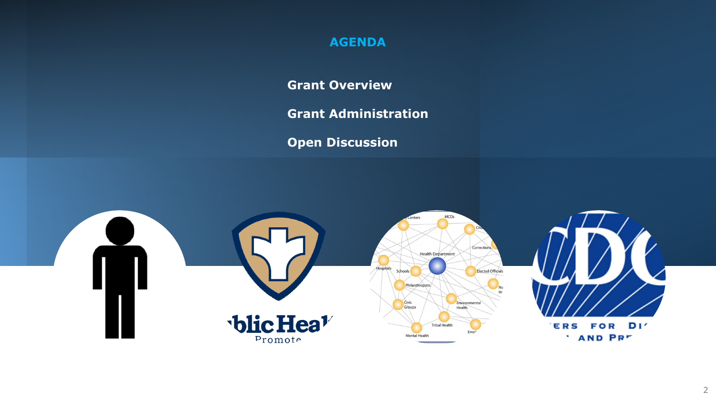### **AGENDA**

**Grant Overview**

**Grant Administration**

**Open Discussion**





FOR DI'

**AND PRE**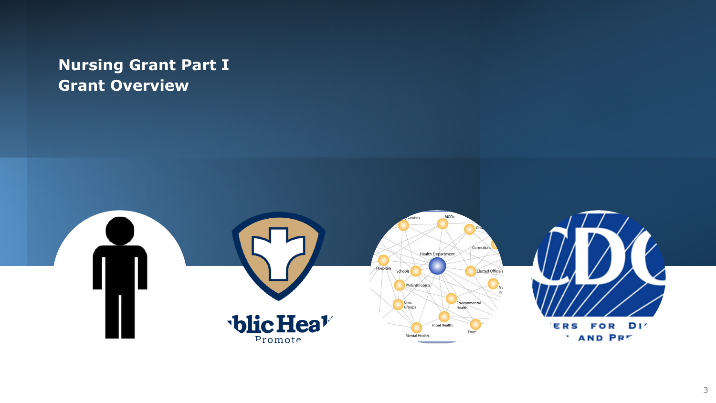## **Nursing Grant Part I Grant Overview**

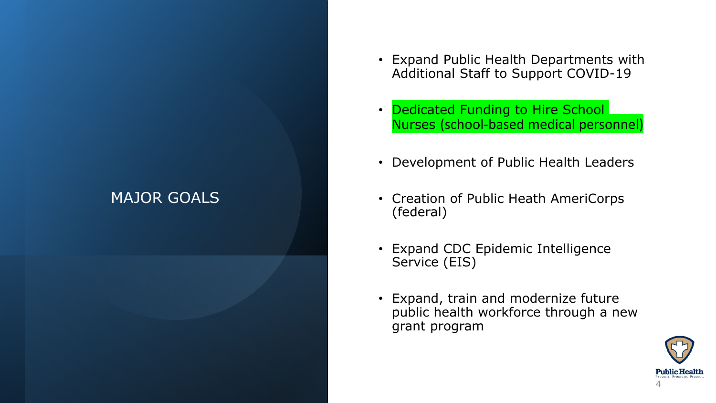## MAJOR GOALS

- Expand Public Health Departments with Additional Staff to Support COVID-19
- Dedicated Funding to Hire School Nurses (school-based medical personnel)
- Development of Public Health Leaders
- Creation of Public Heath AmeriCorps (federal)
- Expand CDC Epidemic Intelligence Service (EIS)
- Expand, train and modernize future public health workforce through a new grant program

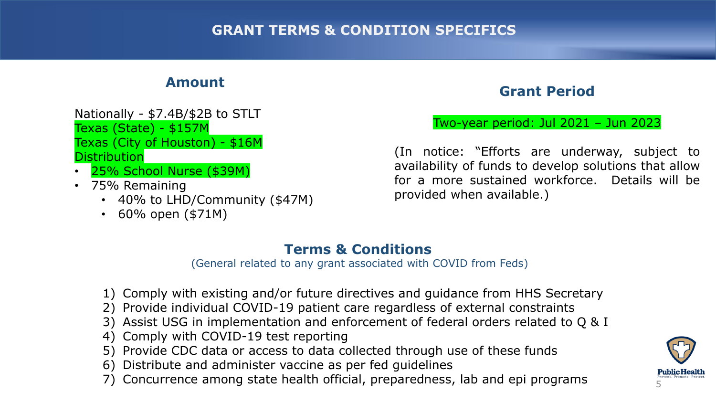### **Amount**

- Nationally \$7.4B/\$2B to STLT Texas (State) - \$157M Texas (City of Houston) - \$16M **Distribution**
- 25% School Nurse (\$39M)
- 75% Remaining
	- 40% to LHD/Community (\$47M)
	- 60% open (\$71M)

### **Grant Period**

#### Two-year period: Jul 2021 – Jun 2023

(In notice: "Efforts are underway, subject to availability of funds to develop solutions that allow for a more sustained workforce. Details will be provided when available.)

### **Terms & Conditions**

(General related to any grant associated with COVID from Feds)

- 1) Comply with existing and/or future directives and guidance from HHS Secretary
- 2) Provide individual COVID-19 patient care regardless of external constraints
- 3) Assist USG in implementation and enforcement of federal orders related to Q & I
- 4) Comply with COVID-19 test reporting
- 5) Provide CDC data or access to data collected through use of these funds
- 6) Distribute and administer vaccine as per fed guidelines
- 7) Concurrence among state health official, preparedness, lab and epi programs

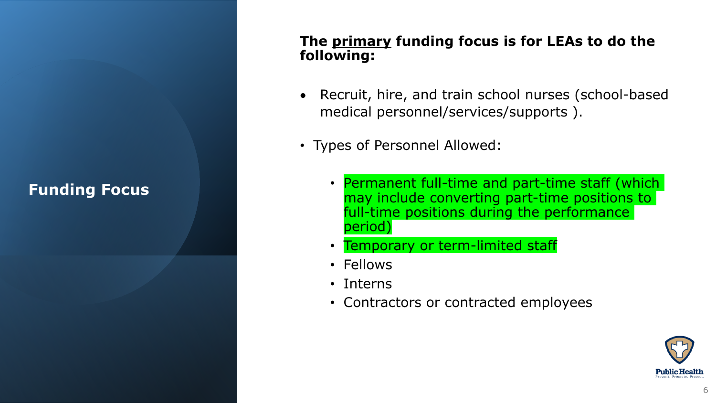## **Funding Focus**

### **The primary funding focus is for LEAs to do the following:**

- Recruit, hire, and train school nurses (school-based medical personnel/services/supports ).
- Types of Personnel Allowed:
	- Permanent full-time and part-time staff (which may include converting part-time positions to full-time positions during the performance period)
	- Temporary or term-limited staff
	- Fellows
	- Interns
	- Contractors or contracted employees

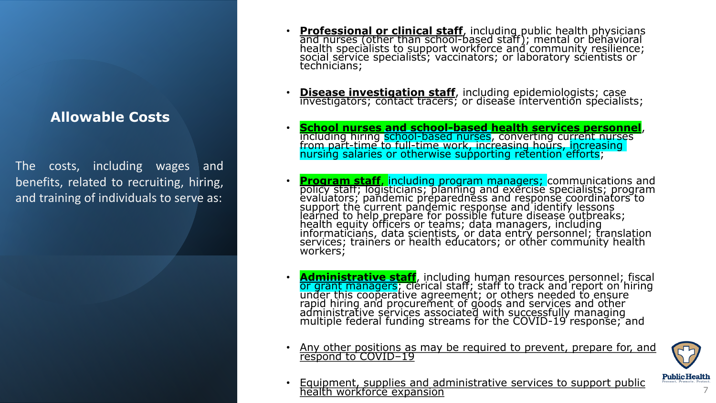### **Allowable Costs**

The costs, including wages and benefits, related to recruiting, hiring, and training of individuals to serve as:

- **Professional or clinical staff**, including public health physicians and nurses (other than school-based staff); mental or behavioral health specialists to support workforce and community resilience; social service specialists; vaccinators; or laboratory scientists or technicians;
- **Disease investigation staff**, including epidemiologists; case investigators; contact tracers; or disease intervention specialists;
- **School nurses and school-based health services personnel**, including hiring school-based nurses, converting current nurses from part-time to full-time work, increasing hours, increasing nursing salaries or otherwise supporting retention efforts;
- **Program staff, including program managers; communications and** policy staff; logisticians; planning and exercise specialists; program evaluators; pandemic preparedness and response coordinators to support the current pandemic response and identify lessons learned to help prepare for possible future disease outbreaks; health equity officers or teams; data managers, including informaticians, data scientists, or data entry personnel; translation services; trainers or health educators; or other community health workers;
- **Administrative staff**, including human resources personnel; fiscal or grant managers; clerical staff; staff to track and report on hiring under this cooperative agreement; or others needed to ensure rapid hiring and procurement of goods and services and other administrative services associated with successfully managing multiple federal funding streams for the COVID-19 response; and
- Any other positions as may be required to prevent, prepare for, and respond to COVID–19



• Equipment, supplies and administrative services to support public health workforce expansion 7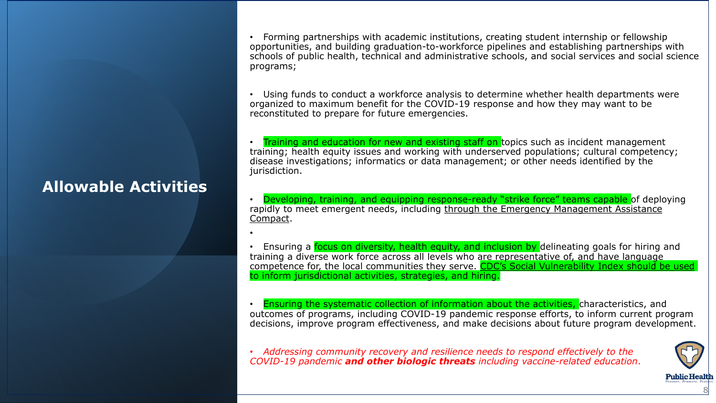## **Allowable Activities**

•

• Forming partnerships with academic institutions, creating student internship or fellowship opportunities, and building graduation-to-workforce pipelines and establishing partnerships with schools of public health, technical and administrative schools, and social services and social science programs;

• Using funds to conduct a workforce analysis to determine whether health departments were organized to maximum benefit for the COVID-19 response and how they may want to be reconstituted to prepare for future emergencies.

**Training and education for new and existing staff on topics such as incident management** training; health equity issues and working with underserved populations; cultural competency; disease investigations; informatics or data management; or other needs identified by the jurisdiction.

• Developing, training, and equipping response-ready "strike force" teams capable of deploying rapidly to meet emergent needs, including through the Emergency Management Assistance Compact.

Ensuring a focus on diversity, health equity, and inclusion by delineating goals for hiring and training a diverse work force across all levels who are representative of, and have language competence for, the local communities they serve. CDC's Social Vulnerability Index should be used to inform jurisdictional activities, strategies, and hiring.

• Ensuring the systematic collection of information about the activities, characteristics, and outcomes of programs, including COVID-19 pandemic response efforts, to inform current program decisions, improve program effectiveness, and make decisions about future program development.

• *Addressing community recovery and resilience needs to respond effectively to the COVID-19 pandemic and other biologic threats including vaccine-related education*.

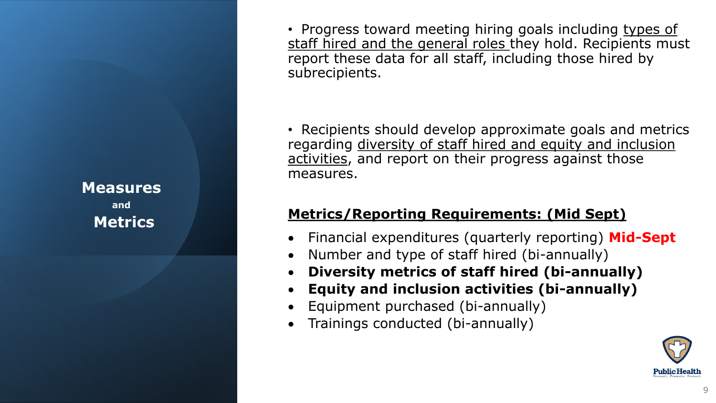**Measures and Metrics**

• Progress toward meeting hiring goals including types of staff hired and the general roles they hold. Recipients must report these data for all staff, including those hired by subrecipients.

• Recipients should develop approximate goals and metrics regarding diversity of staff hired and equity and inclusion activities, and report on their progress against those measures.

## **Metrics/Reporting Requirements: (Mid Sept)**

- Financial expenditures (quarterly reporting) **Mid-Sept**
- Number and type of staff hired (bi-annually)
- **Diversity metrics of staff hired (bi-annually)**
- **Equity and inclusion activities (bi-annually)**
- Equipment purchased (bi-annually)
- Trainings conducted (bi-annually)

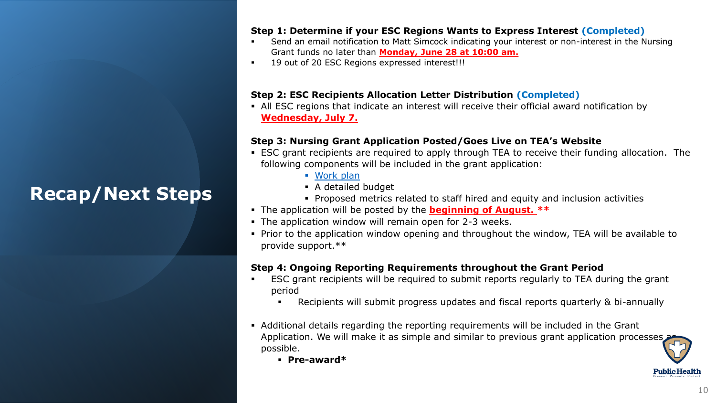# **Recap/Next Steps**

#### **Step 1: Determine if your ESC Regions Wants to Express Interest (Completed)**

- Send an email notification to Matt Simcock indicating your interest or non-interest in the Nursing Grant funds no later than **Monday, June 28 at 10:00 am.**
- 19 out of 20 ESC Regions expressed interest!!!

#### **Step 2: ESC Recipients Allocation Letter Distribution (Completed)**

**EXEC 12** All ESC regions that indicate an interest will receive their official award notification by **Wednesday, July 7.** 

#### **Step 3: Nursing Grant Application Posted/Goes Live on TEA's Website**

- ESC grant recipients are required to apply through TEA to receive their funding allocation. The following components will be included in the grant application:
	- [Work plan](https://www.cdc.gov/cpr/readiness/00_docs/CDC_Crisis_Response_COVID_19_Funding_PH_Workforce_Guidance_May_2021.pdf)
	- A detailed budget
	- Proposed metrics related to staff hired and equity and inclusion activities
- The application will be posted by the **beginning of August. \*\***
- The application window will remain open for 2-3 weeks.
- **Prior to the application window opening and throughout the window, TEA will be available to** provide support.\*\*

#### **Step 4: Ongoing Reporting Requirements throughout the Grant Period**

- ESC grant recipients will be required to submit reports regularly to TEA during the grant period
	- Recipients will submit progress updates and fiscal reports quarterly & bi-annually
- Additional details regarding the reporting requirements will be included in the Grant Application. We will make it as simple and similar to previous grant application processes possible.
	- **Pre-award\***

**Public Health**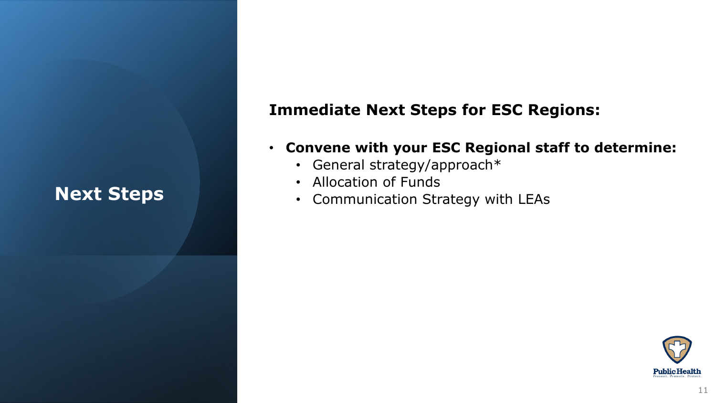# **Next Steps**

## **Immediate Next Steps for ESC Regions:**

- **Convene with your ESC Regional staff to determine:**
	- General strategy/approach\*
	- Allocation of Funds
	- Communication Strategy with LEAs